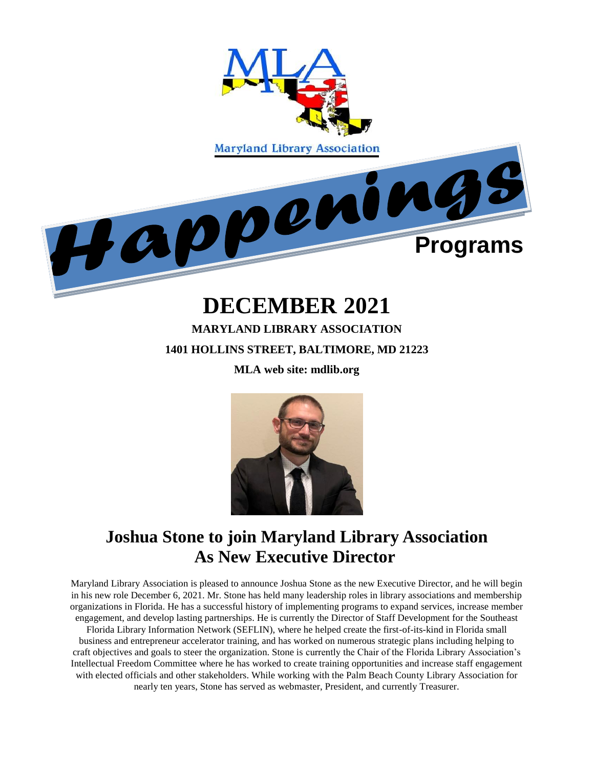

# **DECEMBER 2021**

# **MARYLAND LIBRARY ASSOCIATION 1401 HOLLINS STREET, BALTIMORE, MD 21223**

**MLA web site: mdlib.org**



# **Joshua Stone to join Maryland Library Association As New Executive Director**

Maryland Library Association is pleased to announce Joshua Stone as the new Executive Director, and he will begin in his new role December 6, 2021. Mr. Stone has held many leadership roles in library associations and membership organizations in Florida. He has a successful history of implementing programs to expand services, increase member engagement, and develop lasting partnerships. He is currently the Director of Staff Development for the Southeast Florida Library Information Network (SEFLIN), where he helped create the first-of-its-kind in Florida small business and entrepreneur accelerator training, and has worked on numerous strategic plans including helping to craft objectives and goals to steer the organization. Stone is currently the Chair of the Florida Library Association's Intellectual Freedom Committee where he has worked to create training opportunities and increase staff engagement with elected officials and other stakeholders. While working with the Palm Beach County Library Association for nearly ten years, Stone has served as webmaster, President, and currently Treasurer.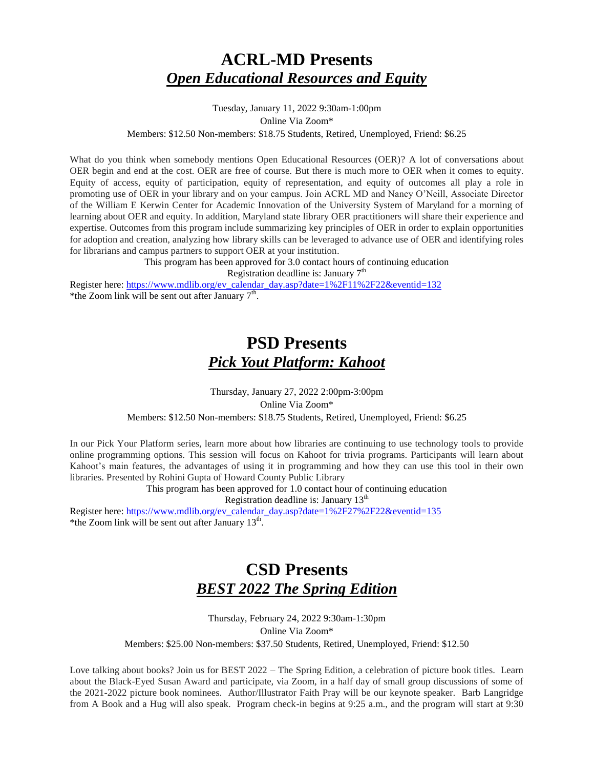# **ACRL-MD Presents**  *Open Educational Resources and Equity*

Tuesday, January 11, 2022 9:30am-1:00pm Online Via Zoom\* Members: \$12.50 Non-members: \$18.75 Students, Retired, Unemployed, Friend: \$6.25

What do you think when somebody mentions Open Educational Resources (OER)? A lot of conversations about OER begin and end at the cost. OER are free of course. But there is much more to OER when it comes to equity. Equity of access, equity of participation, equity of representation, and equity of outcomes all play a role in promoting use of OER in your library and on your campus. Join ACRL MD and Nancy O'Neill, Associate Director of the William E Kerwin Center for Academic Innovation of the University System of Maryland for a morning of learning about OER and equity. In addition, Maryland state library OER practitioners will share their experience and expertise. Outcomes from this program include summarizing key principles of OER in order to explain opportunities for adoption and creation, analyzing how library skills can be leveraged to advance use of OER and identifying roles for librarians and campus partners to support OER at your institution.

> This program has been approved for 3.0 contact hours of continuing education Registration deadline is: January  $7<sup>th</sup>$

Register here: [https://www.mdlib.org/ev\\_calendar\\_day.asp?date=1%2F11%2F22&eventid=132](https://www.mdlib.org/ev_calendar_day.asp?date=1%2F11%2F22&eventid=132) \*the Zoom link will be sent out after January  $7<sup>th</sup>$ .

# **PSD Presents**  *Pick Yout Platform: Kahoot*

Thursday, January 27, 2022 2:00pm-3:00pm Online Via Zoom\* Members: \$12.50 Non-members: \$18.75 Students, Retired, Unemployed, Friend: \$6.25

In our Pick Your Platform series, learn more about how libraries are continuing to use technology tools to provide online programming options. This session will focus on Kahoot for trivia programs. Participants will learn about Kahoot's main features, the advantages of using it in programming and how they can use this tool in their own libraries. Presented by Rohini Gupta of Howard County Public Library

This program has been approved for 1.0 contact hour of continuing education

Registration deadline is: January  $13<sup>th</sup>$ 

Register here: [https://www.mdlib.org/ev\\_calendar\\_day.asp?date=1%2F27%2F22&eventid=135](https://www.mdlib.org/ev_calendar_day.asp?date=1%2F27%2F22&eventid=135) \*the Zoom link will be sent out after January  $13<sup>th</sup>$ .

# **CSD Presents**  *BEST 2022 The Spring Edition*

Thursday, February 24, 2022 9:30am-1:30pm Online Via Zoom\* Members: \$25.00 Non-members: \$37.50 Students, Retired, Unemployed, Friend: \$12.50

Love talking about books? Join us for BEST 2022 – The Spring Edition, a celebration of picture book titles. Learn about the Black-Eyed Susan Award and participate, via Zoom, in a half day of small group discussions of some of the 2021-2022 picture book nominees. Author/Illustrator Faith Pray will be our keynote speaker. Barb Langridge from A Book and a Hug will also speak. Program check-in begins at 9:25 a.m., and the program will start at 9:30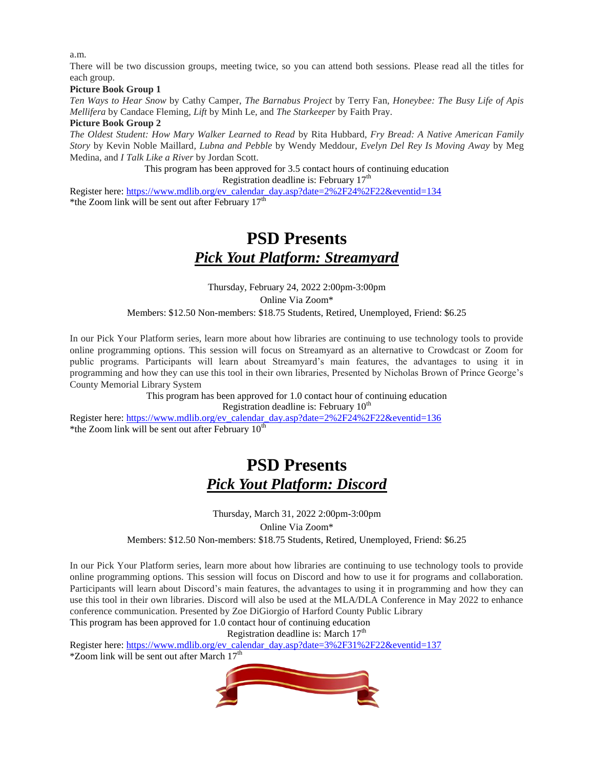a.m.

There will be two discussion groups, meeting twice, so you can attend both sessions. Please read all the titles for each group.

#### **Picture Book Group 1**

*Ten Ways to Hear Snow* by Cathy Camper, *The Barnabus Project* by Terry Fan, *Honeybee: The Busy Life of Apis Mellifera* by Candace Fleming, *Lift* by Minh Le, and *The Starkeeper* by Faith Pray.

#### **Picture Book Group 2**

*The Oldest Student: How Mary Walker Learned to Read* by Rita Hubbard, *Fry Bread: A Native American Family Story* by Kevin Noble Maillard*, Lubna and Pebble* by Wendy Meddour, *Evelyn Del Rey Is Moving Away* by Meg Medina, and *I Talk Like a River* by Jordan Scott.

> This program has been approved for 3.5 contact hours of continuing education Registration deadline is: February  $17<sup>th</sup>$

Register here: [https://www.mdlib.org/ev\\_calendar\\_day.asp?date=2%2F24%2F22&eventid=134](https://www.mdlib.org/ev_calendar_day.asp?date=2%2F24%2F22&eventid=134) \*the Zoom link will be sent out after February  $17<sup>th</sup>$ 

### **PSD Presents**  *Pick Yout Platform: Streamyard*

Thursday, February 24, 2022 2:00pm-3:00pm Online Via Zoom\* Members: \$12.50 Non-members: \$18.75 Students, Retired, Unemployed, Friend: \$6.25

In our Pick Your Platform series, learn more about how libraries are continuing to use technology tools to provide online programming options. This session will focus on Streamyard as an alternative to Crowdcast or Zoom for public programs. Participants will learn about Streamyard's main features, the advantages to using it in programming and how they can use this tool in their own libraries, Presented by Nicholas Brown of Prince George's County Memorial Library System

> This program has been approved for 1.0 contact hour of continuing education Registration deadline is: February  $10<sup>th</sup>$

Register here: [https://www.mdlib.org/ev\\_calendar\\_day.asp?date=2%2F24%2F22&eventid=136](https://www.mdlib.org/ev_calendar_day.asp?date=2%2F24%2F22&eventid=136) \*the Zoom link will be sent out after February  $10^{th}$ 

# **PSD Presents**  *Pick Yout Platform: Discord*

Thursday, March 31, 2022 2:00pm-3:00pm Online Via Zoom\* Members: \$12.50 Non-members: \$18.75 Students, Retired, Unemployed, Friend: \$6.25

In our Pick Your Platform series, learn more about how libraries are continuing to use technology tools to provide online programming options. This session will focus on Discord and how to use it for programs and collaboration. Participants will learn about Discord's main features, the advantages to using it in programming and how they can use this tool in their own libraries. Discord will also be used at the MLA/DLA Conference in May 2022 to enhance conference communication. Presented by Zoe DiGiorgio of Harford County Public Library This program has been approved for 1.0 contact hour of continuing education

Registration deadline is: March  $17<sup>th</sup>$ 

Register here: [https://www.mdlib.org/ev\\_calendar\\_day.asp?date=3%2F31%2F22&eventid=137](https://www.mdlib.org/ev_calendar_day.asp?date=3%2F31%2F22&eventid=137)  $*$ Zoom link will be sent out after March 17<sup>th</sup>

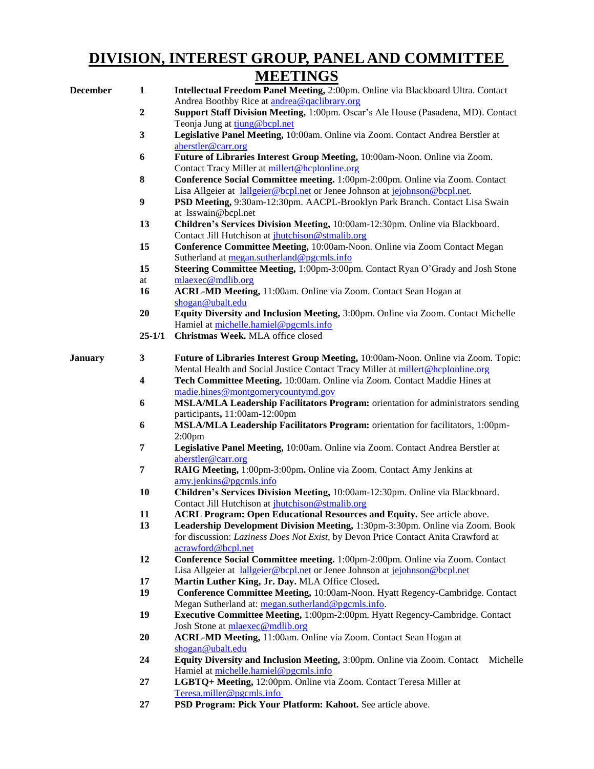### **DIVISION, INTEREST GROUP, PANEL AND COMMITTEE MEETINGS**

|                |                  | *************                                                                                                                             |
|----------------|------------------|-------------------------------------------------------------------------------------------------------------------------------------------|
| December       | $\mathbf{1}$     | Intellectual Freedom Panel Meeting, 2:00pm. Online via Blackboard Ultra. Contact                                                          |
|                |                  | Andrea Boothby Rice at andrea@qaclibrary.org                                                                                              |
|                | $\boldsymbol{2}$ | Support Staff Division Meeting, 1:00pm. Oscar's Ale House (Pasadena, MD). Contact<br>Teonja Jung at tiung@bcpl.net                        |
|                |                  |                                                                                                                                           |
|                | $\mathbf{3}$     | Legislative Panel Meeting, 10:00am. Online via Zoom. Contact Andrea Berstler at<br>aberstler@carr.org                                     |
|                | 6                | Future of Libraries Interest Group Meeting, 10:00am-Noon. Online via Zoom.                                                                |
|                |                  | Contact Tracy Miller at millert@hcplonline.org                                                                                            |
|                | 8                | Conference Social Committee meeting. 1:00pm-2:00pm. Online via Zoom. Contact                                                              |
|                |                  | Lisa Allgeier at lallgeier@bcpl.net or Jenee Johnson at jejohnson@bcpl.net.                                                               |
|                | 9                | PSD Meeting, 9:30am-12:30pm. AACPL-Brooklyn Park Branch. Contact Lisa Swain                                                               |
|                |                  | at lsswain@bcpl.net                                                                                                                       |
|                | 13               | Children's Services Division Meeting, 10:00am-12:30pm. Online via Blackboard.                                                             |
|                |                  | Contact Jill Hutchison at <i>jhutchison@stmalib.org</i>                                                                                   |
|                | 15               | Conference Committee Meeting, 10:00am-Noon. Online via Zoom Contact Megan                                                                 |
|                |                  | Sutherland at megan.sutherland@pgcmls.info                                                                                                |
|                | 15               | Steering Committee Meeting, 1:00pm-3:00pm. Contact Ryan O'Grady and Josh Stone                                                            |
|                | at               | mlaexec@mdlib.org                                                                                                                         |
|                | 16               | ACRL-MD Meeting, 11:00am. Online via Zoom. Contact Sean Hogan at                                                                          |
|                |                  | shogan@ubalt.edu                                                                                                                          |
|                | 20               | Equity Diversity and Inclusion Meeting, 3:00pm. Online via Zoom. Contact Michelle                                                         |
|                |                  | Hamiel at michelle.hamiel@pgcmls.info                                                                                                     |
|                | $25 - 1/1$       | Christmas Week. MLA office closed                                                                                                         |
| <b>January</b> | $\mathbf{3}$     | Future of Libraries Interest Group Meeting, 10:00am-Noon. Online via Zoom. Topic:                                                         |
|                |                  | Mental Health and Social Justice Contact Tracy Miller at millert@hcplonline.org                                                           |
|                | 4                | Tech Committee Meeting. 10:00am. Online via Zoom. Contact Maddie Hines at                                                                 |
|                |                  | madie.hines@montgomerycountymd.gov                                                                                                        |
|                | 6                | MSLA/MLA Leadership Facilitators Program: orientation for administrators sending                                                          |
|                |                  | participants, 11:00am-12:00pm                                                                                                             |
|                | 6                | MSLA/MLA Leadership Facilitators Program: orientation for facilitators, 1:00pm-                                                           |
|                |                  | 2:00 <sub>pm</sub>                                                                                                                        |
|                | 7                | Legislative Panel Meeting, 10:00am. Online via Zoom. Contact Andrea Berstler at                                                           |
|                |                  | aberstler@carr.org                                                                                                                        |
|                | 7                | RAIG Meeting, 1:00pm-3:00pm. Online via Zoom. Contact Amy Jenkins at                                                                      |
|                |                  | amy.jenkins@pgcmls.info                                                                                                                   |
|                | 10               | Children's Services Division Meeting, 10:00am-12:30pm. Online via Blackboard.                                                             |
|                | 11               | Contact Jill Hutchison at <i>jhutchison@stmalib.org</i><br><b>ACRL Program: Open Educational Resources and Equity.</b> See article above. |
|                | 13               | Leadership Development Division Meeting, 1:30pm-3:30pm. Online via Zoom. Book                                                             |
|                |                  | for discussion: Laziness Does Not Exist, by Devon Price Contact Anita Crawford at                                                         |
|                |                  | acrawford@bcpl.net                                                                                                                        |
|                | 12               | Conference Social Committee meeting. 1:00pm-2:00pm. Online via Zoom. Contact                                                              |
|                |                  | Lisa Allgeier at lallgeier@bcpl.net or Jenee Johnson at jejohnson@bcpl.net                                                                |
|                | 17               | Martin Luther King, Jr. Day. MLA Office Closed.                                                                                           |
|                | 19               | Conference Committee Meeting, 10:00am-Noon. Hyatt Regency-Cambridge. Contact                                                              |
|                |                  | Megan Sutherland at: megan.sutherland@pgcmls.info.                                                                                        |
|                | 19               | Executive Committee Meeting, 1:00pm-2:00pm. Hyatt Regency-Cambridge. Contact                                                              |
|                |                  | Josh Stone at mlaexec@mdlib.org                                                                                                           |
|                | 20               | ACRL-MD Meeting, 11:00am. Online via Zoom. Contact Sean Hogan at                                                                          |
|                |                  | shogan@ubalt.edu                                                                                                                          |
|                | 24               | Equity Diversity and Inclusion Meeting, 3:00pm. Online via Zoom. Contact<br>Michelle                                                      |
|                |                  | Hamiel at michelle.hamiel@pgcmls.info                                                                                                     |
|                | 27               | LGBTQ+ Meeting, 12:00pm. Online via Zoom. Contact Teresa Miller at                                                                        |
|                |                  | Teresa.miller@pgcmls.info                                                                                                                 |

**27 PSD Program: Pick Your Platform: Kahoot.** See article above.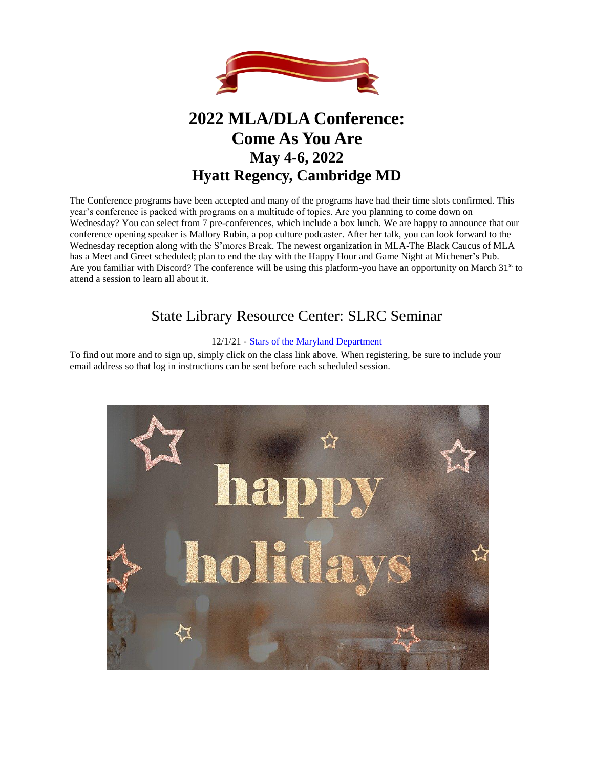

# **2022 MLA/DLA Conference: Come As You Are May 4-6, 2022 Hyatt Regency, Cambridge MD**

The Conference programs have been accepted and many of the programs have had their time slots confirmed. This year's conference is packed with programs on a multitude of topics. Are you planning to come down on Wednesday? You can select from 7 pre-conferences, which include a box lunch. We are happy to announce that our conference opening speaker is Mallory Rubin, a pop culture podcaster. After her talk, you can look forward to the Wednesday reception along with the S'mores Break. The newest organization in MLA-The Black Caucus of MLA has a Meet and Greet scheduled; plan to end the day with the Happy Hour and Game Night at Michener's Pub. Are you familiar with Discord? The conference will be using this platform-you have an opportunity on March  $31<sup>st</sup>$  to attend a session to learn all about it.

# State Library Resource Center: SLRC Seminar

#### 12/1/21 - [Stars of the Maryland Department](https://nam11.safelinks.protection.outlook.com/?url=http%3A%2F%2Fhost2.evanced.info%2Fmaryland%2Fevanced%2Feventsignup.asp%3FID%3D1874%26rts%3D%26disptype%3D%26ret%3Deventcalendar.asp%26pointer%3Dinhouse%26returnToSearch%3D%26num%3D0%26ad%3D%26dt%3Dmo%26mo%3D12%2F1%2F2021%26df%3Dcalendar%26EventType%3DALL%26Lib%3D13%26AgeGroup%3D%26LangType%3D0%26WindowMode%3D%26noheader%3D%26lad%3D%26pub%3D1%26nopub%3D%26page%3D%26pgdisp%3D&data=04%7C01%7Ckmonagan%40mdlib.org%7C866e1e96653e40514cc508d972f66806%7Cabfaca4f2f8440c29a45bd09ad83fe89%7C0%7C1%7C637667224904310833%7CUnknown%7CTWFpbGZsb3d8eyJWIjoiMC4wLjAwMDAiLCJQIjoiV2luMzIiLCJBTiI6Ik1haWwiLCJXVCI6Mn0%3D%7C2000&sdata=wl170lIHi2mu6xEchpTR7af6Ads%2F6qPtHDSprtWj9hU%3D&reserved=0)

To find out more and to sign up, simply click on the class link above. When registering, be sure to include your email address so that log in instructions can be sent before each scheduled session.